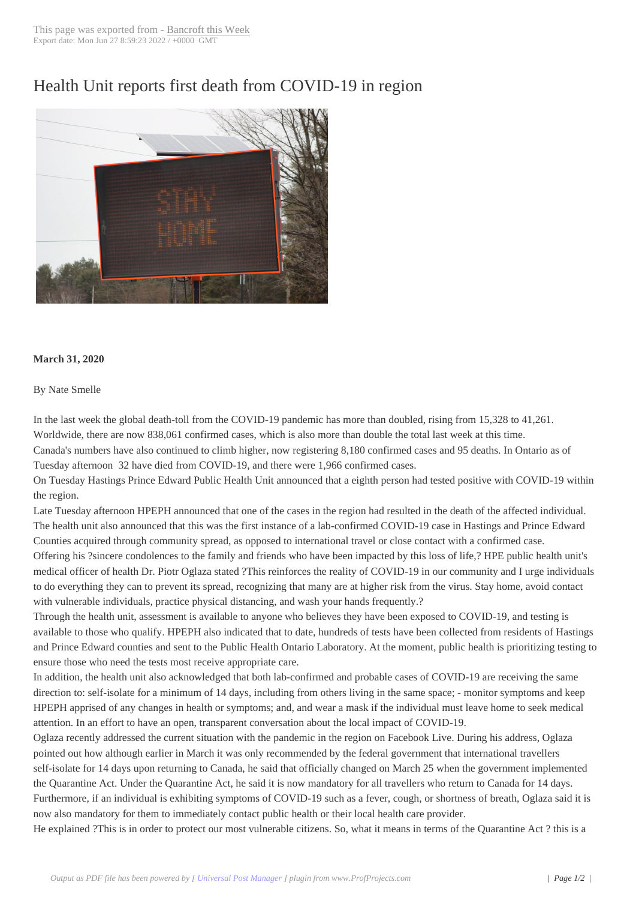## Health Unit reports [first death fr](http://www.bancroftthisweek.com/?p=10378)om COVID-19 in region



## **March 31, 2020**

## By Nate Smelle

In the last week the global death-toll from the COVID-19 pandemic has more than doubled, rising from 15,328 to 41,261. Worldwide, there are now 838,061 confirmed cases, which is also more than double the total last week at this time. Canada's numbers have also continued to climb higher, now registering 8,180 confirmed cases and 95 deaths. In Ontario as of Tuesday afternoon 32 have died from COVID-19, and there were 1,966 confirmed cases.

On Tuesday Hastings Prince Edward Public Health Unit announced that a eighth person had tested positive with COVID-19 within the region.

Late Tuesday afternoon HPEPH announced that one of the cases in the region had resulted in the death of the affected individual. The health unit also announced that this was the first instance of a lab-confirmed COVID-19 case in Hastings and Prince Edward Counties acquired through community spread, as opposed to international travel or close contact with a confirmed case. Offering his ?sincere condolences to the family and friends who have been impacted by this loss of life,? HPE public health unit's medical officer of health Dr. Piotr Oglaza stated ?This reinforces the reality of COVID-19 in our community and I urge individuals to do everything they can to prevent its spread, recognizing that many are at higher risk from the virus. Stay home, avoid contact with vulnerable individuals, practice physical distancing, and wash your hands frequently.?

Through the health unit, assessment is available to anyone who believes they have been exposed to COVID-19, and testing is available to those who qualify. HPEPH also indicated that to date, hundreds of tests have been collected from residents of Hastings and Prince Edward counties and sent to the Public Health Ontario Laboratory. At the moment, public health is prioritizing testing to ensure those who need the tests most receive appropriate care.

In addition, the health unit also acknowledged that both lab-confirmed and probable cases of COVID-19 are receiving the same direction to: self-isolate for a minimum of 14 days, including from others living in the same space; - monitor symptoms and keep HPEPH apprised of any changes in health or symptoms; and, and wear a mask if the individual must leave home to seek medical attention. In an effort to have an open, transparent conversation about the local impact of COVID-19.

Oglaza recently addressed the current situation with the pandemic in the region on Facebook Live. During his address, Oglaza pointed out how although earlier in March it was only recommended by the federal government that international travellers self-isolate for 14 days upon returning to Canada, he said that officially changed on March 25 when the government implemented the Quarantine Act. Under the Quarantine Act, he said it is now mandatory for all travellers who return to Canada for 14 days. Furthermore, if an individual is exhibiting symptoms of COVID-19 such as a fever, cough, or shortness of breath, Oglaza said it is now also mandatory for them to immediately contact public health or their local health care provider.

He explained ?This is in order to protect our most vulnerable citizens. So, what it means in terms of the Quarantine Act ? this is a